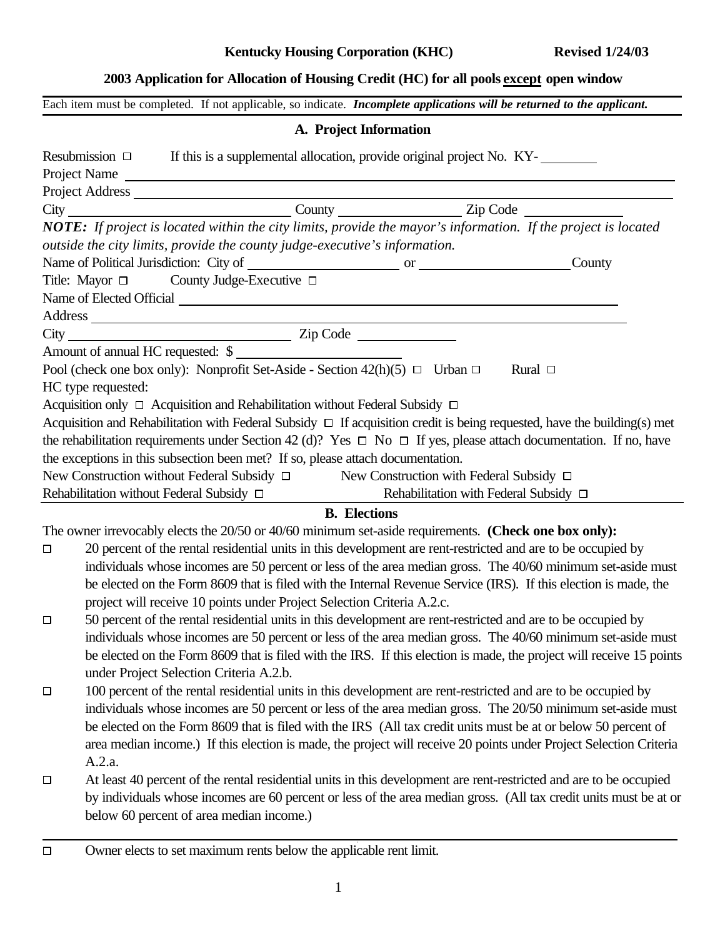## **2003 Application for Allocation of Housing Credit (HC) for all pools except open window**

Each item must be completed. If not applicable, so indicate. *Incomplete applications will be returned to the applicant.*

#### **A. Project Information**

|        | If this is a supplemental allocation, provide original project No. KY-<br>Resubmission $\Box$                                 |                                            |              |
|--------|-------------------------------------------------------------------------------------------------------------------------------|--------------------------------------------|--------------|
|        | Project Name                                                                                                                  |                                            |              |
|        |                                                                                                                               |                                            |              |
|        | City City County County County Zip Code                                                                                       |                                            |              |
|        | NOTE: If project is located within the city limits, provide the mayor's information. If the project is located                |                                            |              |
|        | outside the city limits, provide the county judge-executive's information.                                                    |                                            |              |
|        |                                                                                                                               |                                            | County       |
|        | Title: Mayor $\Box$ County Judge-Executive $\Box$                                                                             |                                            |              |
|        |                                                                                                                               |                                            |              |
|        |                                                                                                                               |                                            |              |
|        |                                                                                                                               |                                            |              |
|        | Amount of annual HC requested: \$                                                                                             |                                            |              |
|        | Pool (check one box only): Nonprofit Set-Aside - Section 42(h)(5) $\Box$ Urban $\Box$                                         |                                            | Rural $\Box$ |
|        | HC type requested:                                                                                                            |                                            |              |
|        | Acquisition only $\Box$ Acquisition and Rehabilitation without Federal Subsidy $\Box$                                         |                                            |              |
|        | Acquisition and Rehabilitation with Federal Subsidy $\Box$ If acquisition credit is being requested, have the building(s) met |                                            |              |
|        | the rehabilitation requirements under Section 42 (d)? Yes $\Box$ No $\Box$ If yes, please attach documentation. If no, have   |                                            |              |
|        | the exceptions in this subsection been met? If so, please attach documentation.                                               |                                            |              |
|        | New Construction without Federal Subsidy □ New Construction with Federal Subsidy □                                            |                                            |              |
|        | Rehabilitation without Federal Subsidy □                                                                                      | Rehabilitation with Federal Subsidy $\Box$ |              |
|        |                                                                                                                               | <b>B.</b> Elections                        |              |
|        | The owner irrevocably elects the 20/50 or 40/60 minimum set-aside requirements. (Check one box only):                         |                                            |              |
| $\Box$ | 20 percent of the rental residential units in this development are rent-restricted and are to be occupied by                  |                                            |              |
|        | individuals whose incomes are 50 percent or less of the area median gross. The 40/60 minimum set-aside must                   |                                            |              |
|        | be elected on the Form 8609 that is filed with the Internal Revenue Service (IRS). If this election is made, the              |                                            |              |
|        | project will receive 10 points under Project Selection Criteria A.2.c.                                                        |                                            |              |
| $\Box$ | 50 percent of the rental residential units in this development are rent-restricted and are to be occupied by                  |                                            |              |
|        | individuals whose incomes are 50 percent or less of the area median gross. The 40/60 minimum set-aside must                   |                                            |              |
|        | be elected on the Form 8609 that is filed with the IRS. If this election is made, the project will receive 15 points          |                                            |              |
|        | under Project Selection Criteria A.2.b.                                                                                       |                                            |              |
| $\Box$ | 100 percent of the rental residential units in this development are rent-restricted and are to be occupied by                 |                                            |              |
|        | individuals whose incomes are 50 percent or less of the area median gross. The 20/50 minimum set-aside must                   |                                            |              |
|        | be elected on the Form 8609 that is filed with the IRS (All tax credit units must be at or below 50 percent of                |                                            |              |
|        | area median income.) If this election is made, the project will receive 20 points under Project Selection Criteria            |                                            |              |
|        | A.2.a.                                                                                                                        |                                            |              |
| $\Box$ | At least 40 percent of the rental residential units in this development are rent-restricted and are to be occupied            |                                            |              |
|        | by individuals whose incomes are 60 percent or less of the area median gross. (All tax credit units must be at or             |                                            |              |
|        | below 60 percent of area median income.)                                                                                      |                                            |              |
|        |                                                                                                                               |                                            |              |

Owner elects to set maximum rents below the applicable rent limit. $\Box$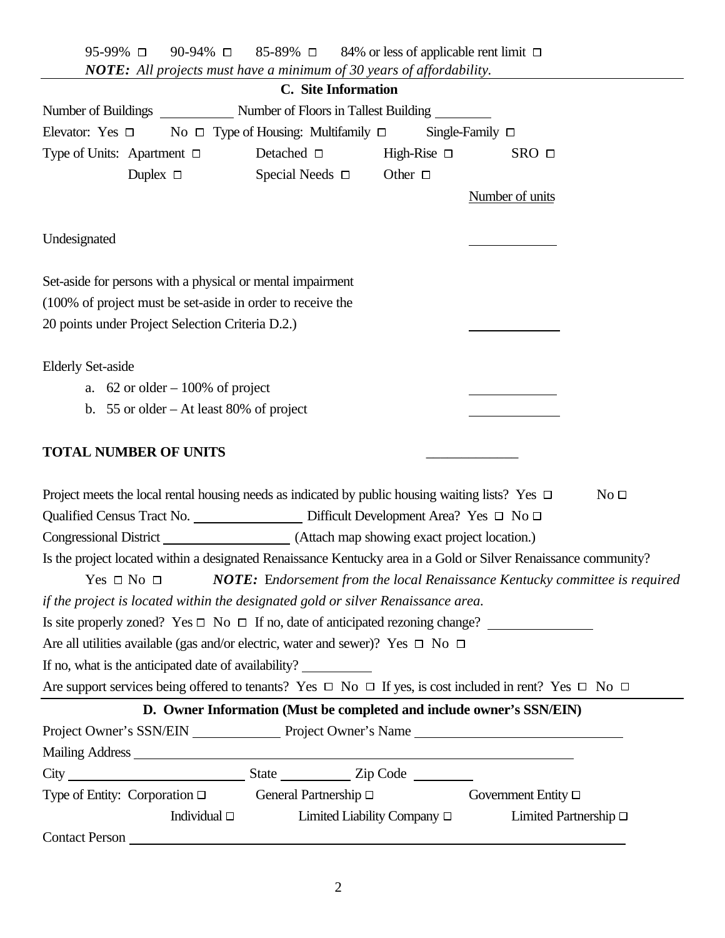| 90-94% □<br>95-99% □<br><b>NOTE:</b> All projects must have a minimum of 30 years of affordability.                        | 85-89% $\Box$ 84% or less of applicable rent limit $\Box$            |                                  |                            |                 |
|----------------------------------------------------------------------------------------------------------------------------|----------------------------------------------------------------------|----------------------------------|----------------------------|-----------------|
|                                                                                                                            | C. Site Information                                                  |                                  |                            |                 |
|                                                                                                                            |                                                                      |                                  |                            |                 |
| Elevator: Yes $\Box$ No $\Box$ Type of Housing: Multifamily $\Box$                                                         |                                                                      |                                  | Single-Family $\Box$       |                 |
| Type of Units: Apartment $\Box$                                                                                            | Detached $\square$                                                   | High-Rise $\Box$                 | $SRO$ $\square$            |                 |
| Duplex $\Box$                                                                                                              | Special Needs $\Box$                                                 | Other $\Box$                     |                            |                 |
|                                                                                                                            |                                                                      |                                  | Number of units            |                 |
|                                                                                                                            |                                                                      |                                  |                            |                 |
| Undesignated                                                                                                               |                                                                      |                                  |                            |                 |
|                                                                                                                            |                                                                      |                                  |                            |                 |
| Set-aside for persons with a physical or mental impairment                                                                 |                                                                      |                                  |                            |                 |
| (100% of project must be set-aside in order to receive the                                                                 |                                                                      |                                  |                            |                 |
| 20 points under Project Selection Criteria D.2.)                                                                           |                                                                      |                                  |                            |                 |
| <b>Elderly Set-aside</b>                                                                                                   |                                                                      |                                  |                            |                 |
| a. $62$ or older $-100\%$ of project                                                                                       |                                                                      |                                  |                            |                 |
| b. 55 or older $-$ At least 80% of project                                                                                 |                                                                      |                                  |                            |                 |
|                                                                                                                            |                                                                      |                                  |                            |                 |
| <b>TOTAL NUMBER OF UNITS</b>                                                                                               |                                                                      |                                  |                            |                 |
|                                                                                                                            |                                                                      |                                  |                            |                 |
| Project meets the local rental housing needs as indicated by public housing waiting lists? Yes $\Box$                      |                                                                      |                                  |                            | No <sub>D</sub> |
| Qualified Census Tract No. 2000 2010 Difficult Development Area? Yes □ No                                                  |                                                                      |                                  |                            |                 |
| Congressional District (Attach map showing exact project location.)                                                        |                                                                      |                                  |                            |                 |
| Is the project located within a designated Renaissance Kentucky area in a Gold or Silver Renaissance community?            |                                                                      |                                  |                            |                 |
| Yes $\Box$ No $\Box$ NOTE: Endorsement from the local Renaissance Kentucky committee is required                           |                                                                      |                                  |                            |                 |
| if the project is located within the designated gold or silver Renaissance area.                                           |                                                                      |                                  |                            |                 |
|                                                                                                                            |                                                                      |                                  |                            |                 |
| Are all utilities available (gas and/or electric, water and sewer)? Yes $\Box$ No $\Box$                                   |                                                                      |                                  |                            |                 |
| If no, what is the anticipated date of availability?                                                                       |                                                                      |                                  |                            |                 |
| Are support services being offered to tenants? Yes $\Box$ No $\Box$ If yes, is cost included in rent? Yes $\Box$ No $\Box$ |                                                                      |                                  |                            |                 |
|                                                                                                                            | D. Owner Information (Must be completed and include owner's SSN/EIN) |                                  |                            |                 |
| Project Owner's SSN/EIN Project Owner's Name                                                                               |                                                                      |                                  |                            |                 |
|                                                                                                                            |                                                                      |                                  |                            |                 |
|                                                                                                                            |                                                                      |                                  |                            |                 |
| Type of Entity: Corporation $\Box$ General Partnership $\Box$                                                              |                                                                      |                                  | Government Entity □        |                 |
| Individual $\Box$                                                                                                          |                                                                      | Limited Liability Company $\Box$ | Limited Partnership $\Box$ |                 |
|                                                                                                                            |                                                                      |                                  |                            |                 |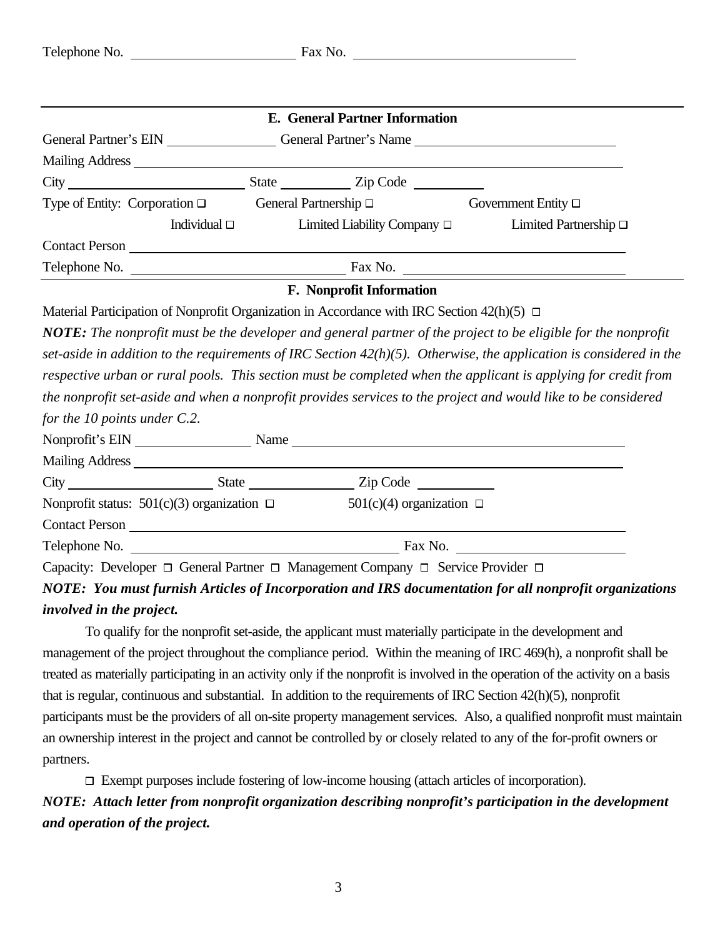|                                                                                                   |                   | E. General Partner Information   |                                                                                                                                                                                                                                |
|---------------------------------------------------------------------------------------------------|-------------------|----------------------------------|--------------------------------------------------------------------------------------------------------------------------------------------------------------------------------------------------------------------------------|
|                                                                                                   |                   |                                  | General Partner's EIN General Partner's Name                                                                                                                                                                                   |
|                                                                                                   |                   |                                  |                                                                                                                                                                                                                                |
|                                                                                                   |                   |                                  |                                                                                                                                                                                                                                |
| Type of Entity: Corporation $\Box$ General Partnership $\Box$ Government Entity $\Box$            |                   |                                  |                                                                                                                                                                                                                                |
|                                                                                                   | Individual $\Box$ | Limited Liability Company $\Box$ | Limited Partnership $\Box$                                                                                                                                                                                                     |
|                                                                                                   |                   |                                  |                                                                                                                                                                                                                                |
|                                                                                                   |                   |                                  |                                                                                                                                                                                                                                |
|                                                                                                   |                   | F. Nonprofit Information         |                                                                                                                                                                                                                                |
| Material Participation of Nonprofit Organization in Accordance with IRC Section $42(h)(5)$ $\Box$ |                   |                                  |                                                                                                                                                                                                                                |
|                                                                                                   |                   |                                  | NOTE: The nonprofit must be the developer and general partner of the project to be eligible for the nonprofit                                                                                                                  |
|                                                                                                   |                   |                                  | set-aside in addition to the requirements of IRC Section $42(h)(5)$ . Otherwise, the application is considered in the                                                                                                          |
|                                                                                                   |                   |                                  | respective urban or rural pools. This section must be completed when the applicant is applying for credit from                                                                                                                 |
|                                                                                                   |                   |                                  | the nonprofit set-aside and when a nonprofit provides services to the project and would like to be considered                                                                                                                  |
| for the 10 points under $C.2$ .                                                                   |                   |                                  |                                                                                                                                                                                                                                |
|                                                                                                   |                   |                                  | Nonprofit's EIN Name Name Name Name Name Name New York Contract to the New York Contract of the New York Contract of the New York Contract of the New York Contract of the New York Contract of the New York Contract of the N |
|                                                                                                   |                   |                                  |                                                                                                                                                                                                                                |
|                                                                                                   |                   |                                  |                                                                                                                                                                                                                                |
| Nonprofit status: $501(c)(3)$ organization $\Box$ $501(c)(4)$ organization $\Box$                 |                   |                                  |                                                                                                                                                                                                                                |
|                                                                                                   |                   |                                  |                                                                                                                                                                                                                                |
|                                                                                                   |                   |                                  |                                                                                                                                                                                                                                |
| Capacity: Developer □ General Partner □ Management Company □ Service Provider □                   |                   |                                  |                                                                                                                                                                                                                                |
|                                                                                                   |                   |                                  | NOTE: You must furnish Articles of Incorporation and IRS documentation for all nonprofit organizations                                                                                                                         |
| <i>involved in the project.</i>                                                                   |                   |                                  |                                                                                                                                                                                                                                |
|                                                                                                   |                   |                                  | To qualify for the nonprofit set-aside, the applicant must materially participate in the development and                                                                                                                       |
|                                                                                                   |                   |                                  | management of the project throughout the compliance period. Within the meaning of IRC 469(h) a nonprofit shall be                                                                                                              |

management of the project throughout the compliance period. Within the meaning of IRC 469(h), a nonprofit shall be treated as materially participating in an activity only if the nonprofit is involved in the operation of the activity on a basis that is regular, continuous and substantial. In addition to the requirements of IRC Section 42(h)(5), nonprofit participants must be the providers of all on-site property management services. Also, a qualified nonprofit must maintain an ownership interest in the project and cannot be controlled by or closely related to any of the for-profit owners or partners.

 $\Box$  Exempt purposes include fostering of low-income housing (attach articles of incorporation). *NOTE: Attach letter from nonprofit organization describing nonprofit's participation in the development and operation of the project.*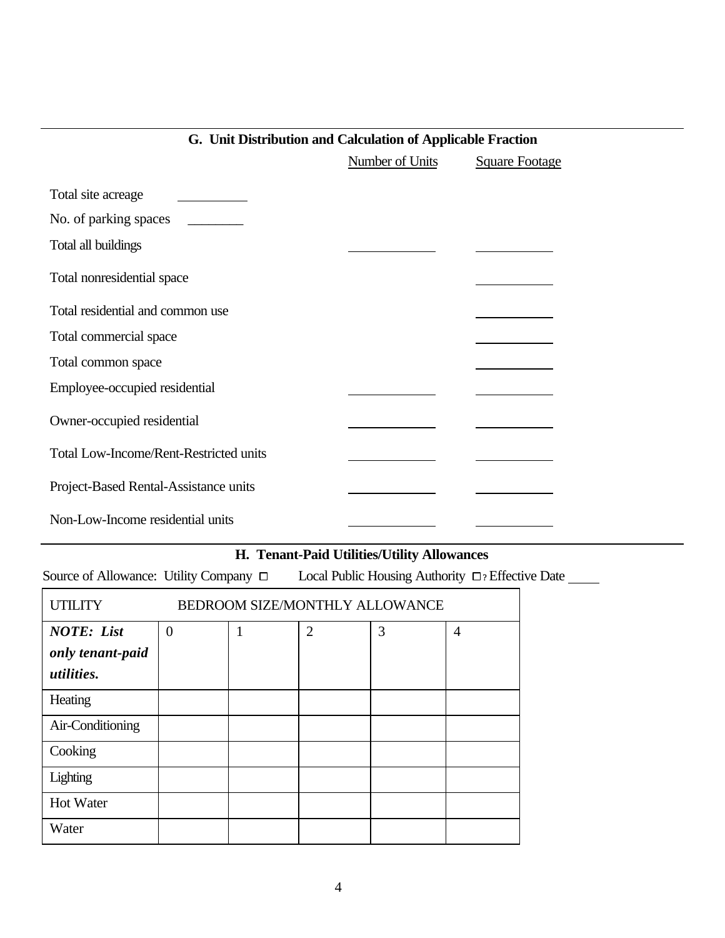|                                               | <b>Number of Units</b> | <b>Square Footage</b> |
|-----------------------------------------------|------------------------|-----------------------|
| Total site acreage                            |                        |                       |
| No. of parking spaces                         |                        |                       |
| Total all buildings                           |                        |                       |
| Total nonresidential space                    |                        |                       |
| Total residential and common use              |                        |                       |
| Total commercial space                        |                        |                       |
| Total common space                            |                        |                       |
| Employee-occupied residential                 |                        |                       |
| Owner-occupied residential                    |                        |                       |
| <b>Total Low-Income/Rent-Restricted units</b> |                        |                       |
| Project-Based Rental-Assistance units         |                        |                       |
| Non-Low-Income residential units              |                        |                       |

## **G. Unit Distribution and Calculation of Applicable Fraction**

# **H. Tenant-Paid Utilities/Utility Allowances**

Source of Allowance: Utility Company  $\Box$  Local Public Housing Authority  $\Box$ ? Effective Date \_\_\_\_\_\_

| <b>UTILITY</b>    | <b>BEDROOM SIZE/MONTHLY ALLOWANCE</b> |   |                |   |                |  |
|-------------------|---------------------------------------|---|----------------|---|----------------|--|
| <b>NOTE:</b> List | $\overline{0}$                        | 1 | $\overline{2}$ | 3 | $\overline{4}$ |  |
| only tenant-paid  |                                       |   |                |   |                |  |
| <i>utilities.</i> |                                       |   |                |   |                |  |
| Heating           |                                       |   |                |   |                |  |
| Air-Conditioning  |                                       |   |                |   |                |  |
| Cooking           |                                       |   |                |   |                |  |
| Lighting          |                                       |   |                |   |                |  |
| <b>Hot Water</b>  |                                       |   |                |   |                |  |
| Water             |                                       |   |                |   |                |  |

r.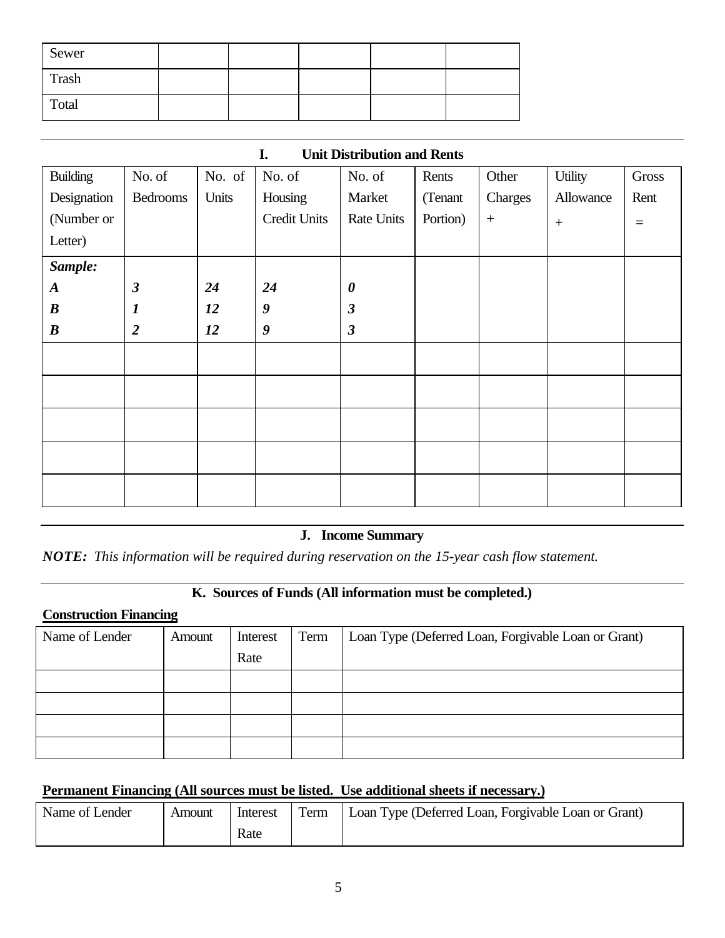| Sewer |  |  |  |
|-------|--|--|--|
| Trash |  |  |  |
| Total |  |  |  |

| <b>Building</b>  | No. of               | No. of | No. of           | No. of                  | Rents    | Other            | Utility   | Gross    |
|------------------|----------------------|--------|------------------|-------------------------|----------|------------------|-----------|----------|
| Designation      | <b>Bedrooms</b>      | Units  | Housing          | Market                  | (Tenant  | Charges          | Allowance | Rent     |
| (Number or       |                      |        | Credit Units     | Rate Units              | Portion) | $\boldsymbol{+}$ | $+$       | $\equiv$ |
| Letter)          |                      |        |                  |                         |          |                  |           |          |
| Sample:          |                      |        |                  |                         |          |                  |           |          |
| $\boldsymbol{A}$ | $\boldsymbol{\beta}$ | 24     | 24               | $\boldsymbol{\theta}$   |          |                  |           |          |
| $\boldsymbol{B}$ | $\boldsymbol{l}$     | 12     | $\boldsymbol{9}$ | $\boldsymbol{\beta}$    |          |                  |           |          |
| $\boldsymbol{B}$ | $\overline{2}$       | 12     | 9                | $\overline{\mathbf{3}}$ |          |                  |           |          |
|                  |                      |        |                  |                         |          |                  |           |          |
|                  |                      |        |                  |                         |          |                  |           |          |
|                  |                      |        |                  |                         |          |                  |           |          |
|                  |                      |        |                  |                         |          |                  |           |          |
|                  |                      |        |                  |                         |          |                  |           |          |

### **I. Unit Distribution and Rents**

## **J. Income Summary**

*NOTE: This information will be required during reservation on the 15-year cash flow statement.*

#### **K. Sources of Funds (All information must be completed.)**

## **Construction Financing**

| Name of Lender | Amount | Interest<br>Rate | Term | Loan Type (Deferred Loan, Forgivable Loan or Grant) |
|----------------|--------|------------------|------|-----------------------------------------------------|
|                |        |                  |      |                                                     |
|                |        |                  |      |                                                     |
|                |        |                  |      |                                                     |
|                |        |                  |      |                                                     |
|                |        |                  |      |                                                     |

## **Permanent Financing (All sources must be listed. Use additional sheets if necessary.)**

| Name of Lender | Amount | Interest | Term | Loan Type (Deferred Loan, Forgivable Loan or Grant) |
|----------------|--------|----------|------|-----------------------------------------------------|
|                |        | Rate     |      |                                                     |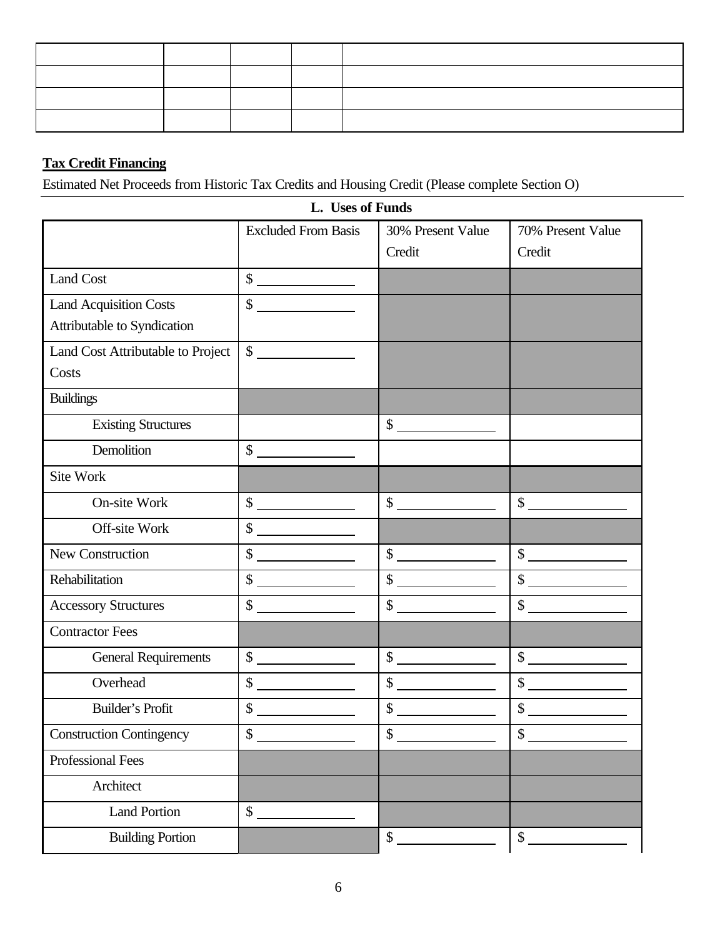## **Tax Credit Financing**

Estimated Net Proceeds from Historic Tax Credits and Housing Credit (Please complete Section O)

|                                   | L. USES OI FUNDS                                                                                                                                                                                                                                                                                                                                    |                                                                                                                                                                                                                                                                                                                                                     |                                                                                        |
|-----------------------------------|-----------------------------------------------------------------------------------------------------------------------------------------------------------------------------------------------------------------------------------------------------------------------------------------------------------------------------------------------------|-----------------------------------------------------------------------------------------------------------------------------------------------------------------------------------------------------------------------------------------------------------------------------------------------------------------------------------------------------|----------------------------------------------------------------------------------------|
|                                   | <b>Excluded From Basis</b>                                                                                                                                                                                                                                                                                                                          | 30% Present Value                                                                                                                                                                                                                                                                                                                                   | 70% Present Value                                                                      |
|                                   |                                                                                                                                                                                                                                                                                                                                                     | Credit                                                                                                                                                                                                                                                                                                                                              | Credit                                                                                 |
| <b>Land Cost</b>                  | $\begin{array}{c c} \hline \texttt{S} & \texttt{S} & \texttt{S} \\ \hline \end{array}$                                                                                                                                                                                                                                                              |                                                                                                                                                                                                                                                                                                                                                     |                                                                                        |
| <b>Land Acquisition Costs</b>     | $\mathsf{\$}$<br><u> 1989 - Jan Stein Stein Stein Stein Stein Stein Stein Stein Stein Stein Stein Stein Stein Stein Stein Stein S</u>                                                                                                                                                                                                               |                                                                                                                                                                                                                                                                                                                                                     |                                                                                        |
| Attributable to Syndication       |                                                                                                                                                                                                                                                                                                                                                     |                                                                                                                                                                                                                                                                                                                                                     |                                                                                        |
| Land Cost Attributable to Project | $\begin{array}{c c} \hline \end{array}$                                                                                                                                                                                                                                                                                                             |                                                                                                                                                                                                                                                                                                                                                     |                                                                                        |
| Costs                             |                                                                                                                                                                                                                                                                                                                                                     |                                                                                                                                                                                                                                                                                                                                                     |                                                                                        |
| <b>Buildings</b>                  |                                                                                                                                                                                                                                                                                                                                                     |                                                                                                                                                                                                                                                                                                                                                     |                                                                                        |
| <b>Existing Structures</b>        |                                                                                                                                                                                                                                                                                                                                                     | $\begin{array}{c c} \hline \end{array}$                                                                                                                                                                                                                                                                                                             |                                                                                        |
| Demolition                        | $\begin{array}{c c} \hline \texttt{S} & \texttt{S} & \texttt{S} \\ \hline \end{array}$                                                                                                                                                                                                                                                              |                                                                                                                                                                                                                                                                                                                                                     |                                                                                        |
| Site Work                         |                                                                                                                                                                                                                                                                                                                                                     |                                                                                                                                                                                                                                                                                                                                                     |                                                                                        |
| On-site Work                      | $\begin{array}{c c} \hline \texttt{S} & \texttt{S} & \texttt{S} \\ \hline \end{array}$                                                                                                                                                                                                                                                              | $\begin{picture}(20,20) \put(0,0){\line(1,0){100}} \put(15,0){\line(1,0){100}} \put(15,0){\line(1,0){100}} \put(15,0){\line(1,0){100}} \put(15,0){\line(1,0){100}} \put(15,0){\line(1,0){100}} \put(15,0){\line(1,0){100}} \put(15,0){\line(1,0){100}} \put(15,0){\line(1,0){100}} \put(15,0){\line(1,0){100}} \put(15,0){\line(1,0){100}} \$       | $\sim$                                                                                 |
| Off-site Work                     | $\begin{array}{c c} \hline \end{array}$                                                                                                                                                                                                                                                                                                             |                                                                                                                                                                                                                                                                                                                                                     |                                                                                        |
| New Construction                  | $\begin{picture}(20,20) \put(0,0){\line(1,0){10}} \put(15,0){\line(1,0){10}} \put(15,0){\line(1,0){10}} \put(15,0){\line(1,0){10}} \put(15,0){\line(1,0){10}} \put(15,0){\line(1,0){10}} \put(15,0){\line(1,0){10}} \put(15,0){\line(1,0){10}} \put(15,0){\line(1,0){10}} \put(15,0){\line(1,0){10}} \put(15,0){\line(1,0){10}} \put(15,0){\line(1$ | $\begin{array}{c c} \hline \texttt{S} & \texttt{S} & \texttt{S} \\ \hline \end{array}$                                                                                                                                                                                                                                                              | $\begin{array}{c c} \hline \end{array}$                                                |
| Rehabilitation                    | $\begin{picture}(20,20) \put(0,0){\line(1,0){10}} \put(15,0){\line(1,0){10}} \put(15,0){\line(1,0){10}} \put(15,0){\line(1,0){10}} \put(15,0){\line(1,0){10}} \put(15,0){\line(1,0){10}} \put(15,0){\line(1,0){10}} \put(15,0){\line(1,0){10}} \put(15,0){\line(1,0){10}} \put(15,0){\line(1,0){10}} \put(15,0){\line(1,0){10}} \put(15,0){\line(1$ | $\begin{picture}(20,20) \put(0,0){\line(1,0){10}} \put(15,0){\line(1,0){10}} \put(15,0){\line(1,0){10}} \put(15,0){\line(1,0){10}} \put(15,0){\line(1,0){10}} \put(15,0){\line(1,0){10}} \put(15,0){\line(1,0){10}} \put(15,0){\line(1,0){10}} \put(15,0){\line(1,0){10}} \put(15,0){\line(1,0){10}} \put(15,0){\line(1,0){10}} \put(15,0){\line(1$ | $\frac{1}{\sqrt{2}}$                                                                   |
| <b>Accessory Structures</b>       | $\frac{1}{2}$                                                                                                                                                                                                                                                                                                                                       | $\begin{array}{c c} \hline \end{array}$ $\begin{array}{c} \hline \end{array}$                                                                                                                                                                                                                                                                       | $\begin{array}{c c} \hline \end{array}$                                                |
| <b>Contractor Fees</b>            |                                                                                                                                                                                                                                                                                                                                                     |                                                                                                                                                                                                                                                                                                                                                     |                                                                                        |
| <b>General Requirements</b>       | $\begin{array}{c c} \hline \texttt{S} & \texttt{S} & \texttt{S} \\ \hline \end{array}$                                                                                                                                                                                                                                                              | $\begin{array}{c c} \hline \texttt{S} & \texttt{S} & \texttt{S} \\ \hline \end{array}$                                                                                                                                                                                                                                                              | $\begin{array}{c c} \hline \texttt{S} & \texttt{S} & \texttt{S} \\ \hline \end{array}$ |
| Overhead                          | $\begin{array}{c c} \hline \end{array}$                                                                                                                                                                                                                                                                                                             | $\frac{1}{\sqrt{2}}$                                                                                                                                                                                                                                                                                                                                | $\frac{1}{\sqrt{2}}$                                                                   |
| Builder's Profit                  | \$                                                                                                                                                                                                                                                                                                                                                  | $\begin{array}{c c} \hline \texttt{S} & \texttt{S} & \texttt{S} \\ \hline \end{array}$                                                                                                                                                                                                                                                              | $\frac{1}{2}$                                                                          |
| <b>Construction Contingency</b>   | \$                                                                                                                                                                                                                                                                                                                                                  | $\mathcal{S}$                                                                                                                                                                                                                                                                                                                                       | $\mathbf{\hat{S}}$                                                                     |
| Professional Fees                 |                                                                                                                                                                                                                                                                                                                                                     |                                                                                                                                                                                                                                                                                                                                                     |                                                                                        |
| Architect                         |                                                                                                                                                                                                                                                                                                                                                     |                                                                                                                                                                                                                                                                                                                                                     |                                                                                        |
| <b>Land Portion</b>               | \$                                                                                                                                                                                                                                                                                                                                                  |                                                                                                                                                                                                                                                                                                                                                     |                                                                                        |
| <b>Building Portion</b>           |                                                                                                                                                                                                                                                                                                                                                     | \$                                                                                                                                                                                                                                                                                                                                                  | \$                                                                                     |

**L. Uses of Funds**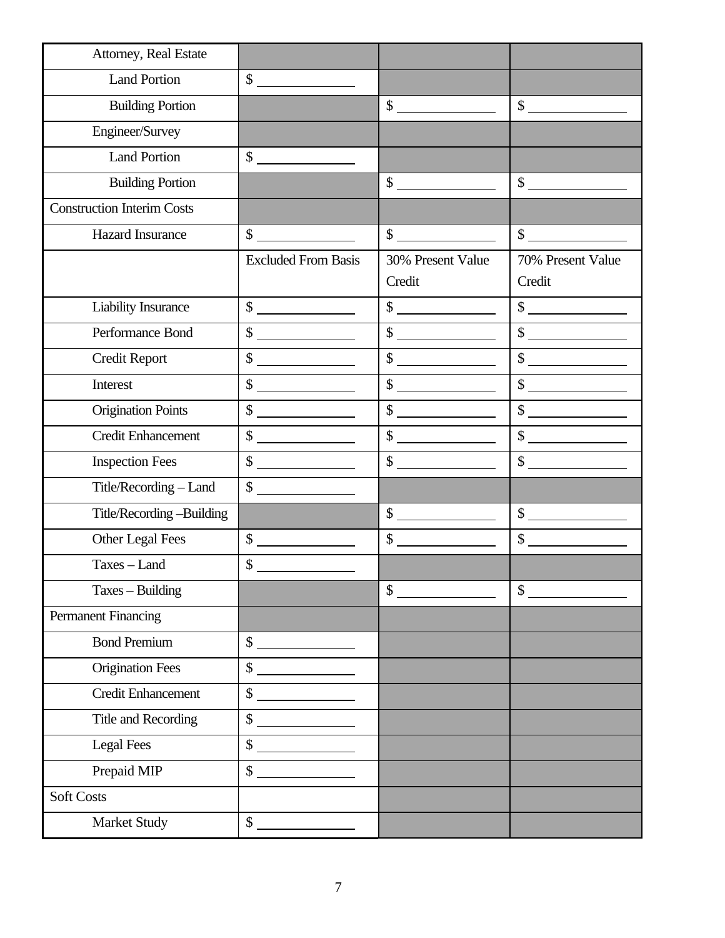| Attorney, Real Estate             |                                                                                                                                                                                                                                                                                                                                                                                                                                                                                                                                        |                                                                                                                                                                                                                                                                                                                                                     |                                                                                                                                                                                                                                                                                                                                                     |
|-----------------------------------|----------------------------------------------------------------------------------------------------------------------------------------------------------------------------------------------------------------------------------------------------------------------------------------------------------------------------------------------------------------------------------------------------------------------------------------------------------------------------------------------------------------------------------------|-----------------------------------------------------------------------------------------------------------------------------------------------------------------------------------------------------------------------------------------------------------------------------------------------------------------------------------------------------|-----------------------------------------------------------------------------------------------------------------------------------------------------------------------------------------------------------------------------------------------------------------------------------------------------------------------------------------------------|
| <b>Land Portion</b>               | $\sim$                                                                                                                                                                                                                                                                                                                                                                                                                                                                                                                                 |                                                                                                                                                                                                                                                                                                                                                     |                                                                                                                                                                                                                                                                                                                                                     |
| <b>Building Portion</b>           |                                                                                                                                                                                                                                                                                                                                                                                                                                                                                                                                        | $\begin{array}{c c} \hline \end{array}$ $\begin{array}{c} \hline \end{array}$                                                                                                                                                                                                                                                                       | $\frac{1}{\sqrt{2}}$                                                                                                                                                                                                                                                                                                                                |
| Engineer/Survey                   |                                                                                                                                                                                                                                                                                                                                                                                                                                                                                                                                        |                                                                                                                                                                                                                                                                                                                                                     |                                                                                                                                                                                                                                                                                                                                                     |
| <b>Land Portion</b>               | $\sim$                                                                                                                                                                                                                                                                                                                                                                                                                                                                                                                                 |                                                                                                                                                                                                                                                                                                                                                     |                                                                                                                                                                                                                                                                                                                                                     |
| <b>Building Portion</b>           |                                                                                                                                                                                                                                                                                                                                                                                                                                                                                                                                        | $\begin{array}{c c} \hline \text{S} & \text{S} & \text{S} \\ \hline \end{array}$                                                                                                                                                                                                                                                                    | $\begin{picture}(20,20) \put(0,0){\line(1,0){10}} \put(15,0){\line(1,0){10}} \put(15,0){\line(1,0){10}} \put(15,0){\line(1,0){10}} \put(15,0){\line(1,0){10}} \put(15,0){\line(1,0){10}} \put(15,0){\line(1,0){10}} \put(15,0){\line(1,0){10}} \put(15,0){\line(1,0){10}} \put(15,0){\line(1,0){10}} \put(15,0){\line(1,0){10}} \put(15,0){\line(1$ |
| <b>Construction Interim Costs</b> |                                                                                                                                                                                                                                                                                                                                                                                                                                                                                                                                        |                                                                                                                                                                                                                                                                                                                                                     |                                                                                                                                                                                                                                                                                                                                                     |
| <b>Hazard Insurance</b>           | $\mathcal{S}$                                                                                                                                                                                                                                                                                                                                                                                                                                                                                                                          | $\sim$                                                                                                                                                                                                                                                                                                                                              | $\sim$                                                                                                                                                                                                                                                                                                                                              |
|                                   | <b>Excluded From Basis</b>                                                                                                                                                                                                                                                                                                                                                                                                                                                                                                             | 30% Present Value<br>Credit                                                                                                                                                                                                                                                                                                                         | 70% Present Value<br>Credit                                                                                                                                                                                                                                                                                                                         |
| Liability Insurance               | $\frac{1}{\sqrt{2}}$                                                                                                                                                                                                                                                                                                                                                                                                                                                                                                                   | $\begin{picture}(20,20) \put(0,0){\line(1,0){10}} \put(15,0){\line(1,0){10}} \put(15,0){\line(1,0){10}} \put(15,0){\line(1,0){10}} \put(15,0){\line(1,0){10}} \put(15,0){\line(1,0){10}} \put(15,0){\line(1,0){10}} \put(15,0){\line(1,0){10}} \put(15,0){\line(1,0){10}} \put(15,0){\line(1,0){10}} \put(15,0){\line(1,0){10}} \put(15,0){\line(1$ | $\frac{1}{1}$                                                                                                                                                                                                                                                                                                                                       |
| Performance Bond                  | $\frac{1}{2}$                                                                                                                                                                                                                                                                                                                                                                                                                                                                                                                          | $\sim$                                                                                                                                                                                                                                                                                                                                              | $\begin{array}{c c} \hline \end{array}$ $\begin{array}{c} \hline \end{array}$                                                                                                                                                                                                                                                                       |
| <b>Credit Report</b>              | $\begin{array}{c c} \hline \end{array}$ $\begin{array}{c} \hline \end{array}$                                                                                                                                                                                                                                                                                                                                                                                                                                                          | $\begin{array}{c c} \hline \end{array}$                                                                                                                                                                                                                                                                                                             | $\begin{array}{c c} \hline \end{array}$                                                                                                                                                                                                                                                                                                             |
| Interest                          | $\frac{\sqrt{2}}{2}$                                                                                                                                                                                                                                                                                                                                                                                                                                                                                                                   | $\begin{array}{c c} \hline \end{array}$                                                                                                                                                                                                                                                                                                             | $\begin{array}{c c} \hline \end{array}$                                                                                                                                                                                                                                                                                                             |
| Origination Points                | $\frac{1}{\sqrt{1-\frac{1}{2}}\sqrt{1-\frac{1}{2}}\sqrt{1-\frac{1}{2}}\sqrt{1-\frac{1}{2}}\sqrt{1-\frac{1}{2}}\sqrt{1-\frac{1}{2}}\sqrt{1-\frac{1}{2}}\sqrt{1-\frac{1}{2}}\sqrt{1-\frac{1}{2}}\sqrt{1-\frac{1}{2}}\sqrt{1-\frac{1}{2}}\sqrt{1-\frac{1}{2}}\sqrt{1-\frac{1}{2}}\sqrt{1-\frac{1}{2}}\sqrt{1-\frac{1}{2}}\sqrt{1-\frac{1}{2}}\sqrt{1-\frac{1}{2}}\sqrt{1-\frac{1}{2}}\sqrt{1-\frac{1}{2}}\sqrt{1-\frac$                                                                                                                   | $\begin{picture}(20,20) \put(0,0){\line(1,0){100}} \put(15,0){\line(1,0){100}} \put(15,0){\line(1,0){100}} \put(15,0){\line(1,0){100}} \put(15,0){\line(1,0){100}} \put(15,0){\line(1,0){100}} \put(15,0){\line(1,0){100}} \put(15,0){\line(1,0){100}} \put(15,0){\line(1,0){100}} \put(15,0){\line(1,0){100}} \put(15,0){\line(1,0){100}} \$       | $\begin{array}{c c} \hline \end{array}$                                                                                                                                                                                                                                                                                                             |
| <b>Credit Enhancement</b>         | $\qquad \qquad \bullet$                                                                                                                                                                                                                                                                                                                                                                                                                                                                                                                | $\frac{\text{S}}{\text{S}}$                                                                                                                                                                                                                                                                                                                         | $\begin{array}{c c} \hline \texttt{S} & \texttt{S} & \texttt{S} \\ \hline \end{array}$                                                                                                                                                                                                                                                              |
| <b>Inspection Fees</b>            | $\frac{1}{2}$                                                                                                                                                                                                                                                                                                                                                                                                                                                                                                                          | $\sim$                                                                                                                                                                                                                                                                                                                                              | $\begin{array}{c c} \hline \end{array}$                                                                                                                                                                                                                                                                                                             |
| Title/Recording - Land            | $\begin{array}{c}\n\circ \\ \bullet \\ \hline\n\end{array}$                                                                                                                                                                                                                                                                                                                                                                                                                                                                            |                                                                                                                                                                                                                                                                                                                                                     |                                                                                                                                                                                                                                                                                                                                                     |
| Title/Recording -Building         |                                                                                                                                                                                                                                                                                                                                                                                                                                                                                                                                        | $\frac{1}{1}$                                                                                                                                                                                                                                                                                                                                       | $\frac{\sqrt{2}}{2}$                                                                                                                                                                                                                                                                                                                                |
| Other Legal Fees                  | $\bigg\{\begin{array}{c c} \multicolumn{3}{c }{\textbf{\footnotesize{S}}}\end{array}\qquad \qquad \begin{array}{c} \multicolumn{3}{c }{\textbf{\footnotesize{S}}}\end{array}\qquad \qquad \begin{array}{c} \multicolumn{3}{c }{\textbf{\footnotesize{S}}}\end{array}\qquad \qquad \begin{array}{c} \multicolumn{3}{c }{\textbf{\footnotesize{S}}}\end{array}\qquad \qquad \begin{array}{c} \multicolumn{3}{c }{\textbf{\footnotesize{S}}}\end{array}\qquad \qquad \begin{array}{c} \multicolumn{3}{c }{\textbf{\footnotesize{S}}}\end$ | $\frac{1}{2}$                                                                                                                                                                                                                                                                                                                                       | $\begin{array}{c c} \hline \end{array}$                                                                                                                                                                                                                                                                                                             |
| Taxes - Land                      | \$                                                                                                                                                                                                                                                                                                                                                                                                                                                                                                                                     |                                                                                                                                                                                                                                                                                                                                                     |                                                                                                                                                                                                                                                                                                                                                     |
| Taxes - Building                  |                                                                                                                                                                                                                                                                                                                                                                                                                                                                                                                                        | \$                                                                                                                                                                                                                                                                                                                                                  | \$                                                                                                                                                                                                                                                                                                                                                  |
| <b>Permanent Financing</b>        |                                                                                                                                                                                                                                                                                                                                                                                                                                                                                                                                        |                                                                                                                                                                                                                                                                                                                                                     |                                                                                                                                                                                                                                                                                                                                                     |
| <b>Bond Premium</b>               | $\frac{\text{S}}{\text{S}}$                                                                                                                                                                                                                                                                                                                                                                                                                                                                                                            |                                                                                                                                                                                                                                                                                                                                                     |                                                                                                                                                                                                                                                                                                                                                     |
| <b>Origination Fees</b>           | $\sim$                                                                                                                                                                                                                                                                                                                                                                                                                                                                                                                                 |                                                                                                                                                                                                                                                                                                                                                     |                                                                                                                                                                                                                                                                                                                                                     |
| <b>Credit Enhancement</b>         | $\sim$                                                                                                                                                                                                                                                                                                                                                                                                                                                                                                                                 |                                                                                                                                                                                                                                                                                                                                                     |                                                                                                                                                                                                                                                                                                                                                     |
| Title and Recording               | $\frac{1}{\sqrt{1-\frac{1}{2}}\sqrt{1-\frac{1}{2}}\sqrt{1-\frac{1}{2}}\sqrt{1-\frac{1}{2}}\sqrt{1-\frac{1}{2}}\sqrt{1-\frac{1}{2}}\sqrt{1-\frac{1}{2}}\sqrt{1-\frac{1}{2}}\sqrt{1-\frac{1}{2}}\sqrt{1-\frac{1}{2}}\sqrt{1-\frac{1}{2}}\sqrt{1-\frac{1}{2}}\sqrt{1-\frac{1}{2}}\sqrt{1-\frac{1}{2}}\sqrt{1-\frac{1}{2}}\sqrt{1-\frac{1}{2}}\sqrt{1-\frac{1}{2}}\sqrt{1-\frac{1}{2}}\sqrt{1-\frac{1}{2}}\sqrt{1-\frac$                                                                                                                   |                                                                                                                                                                                                                                                                                                                                                     |                                                                                                                                                                                                                                                                                                                                                     |
| <b>Legal Fees</b>                 | $\sim$                                                                                                                                                                                                                                                                                                                                                                                                                                                                                                                                 |                                                                                                                                                                                                                                                                                                                                                     |                                                                                                                                                                                                                                                                                                                                                     |
| Prepaid MIP                       | $\mathbb{S}$                                                                                                                                                                                                                                                                                                                                                                                                                                                                                                                           |                                                                                                                                                                                                                                                                                                                                                     |                                                                                                                                                                                                                                                                                                                                                     |
| <b>Soft Costs</b>                 |                                                                                                                                                                                                                                                                                                                                                                                                                                                                                                                                        |                                                                                                                                                                                                                                                                                                                                                     |                                                                                                                                                                                                                                                                                                                                                     |
| <b>Market Study</b>               | \$                                                                                                                                                                                                                                                                                                                                                                                                                                                                                                                                     |                                                                                                                                                                                                                                                                                                                                                     |                                                                                                                                                                                                                                                                                                                                                     |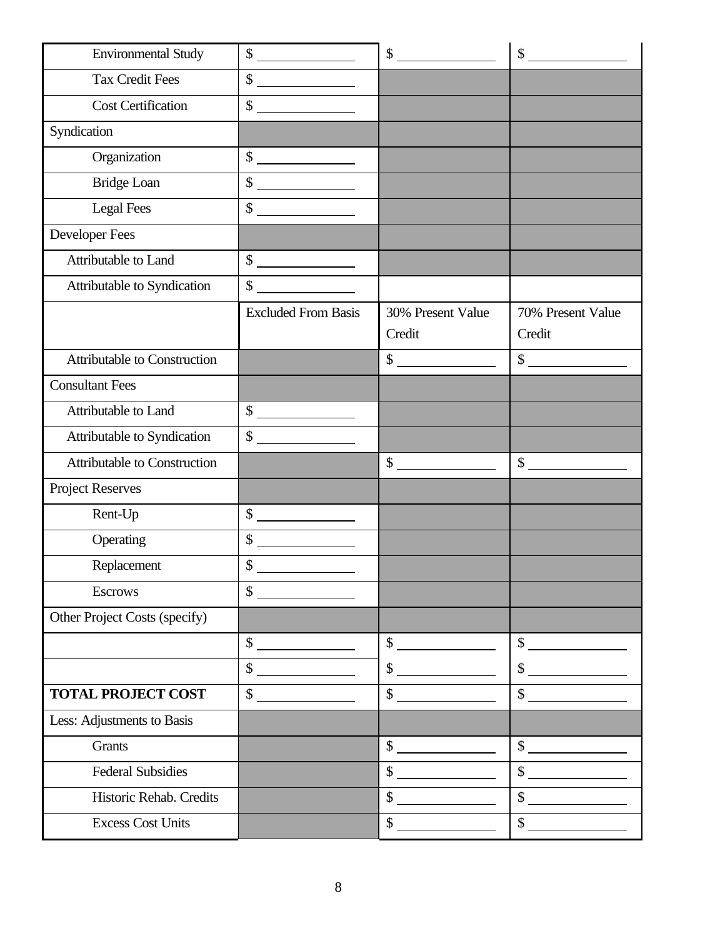| <b>Environmental Study</b>          | $\begin{picture}(20,20) \put(0,0){\line(1,0){10}} \put(15,0){\line(1,0){10}} \put(15,0){\line(1,0){10}} \put(15,0){\line(1,0){10}} \put(15,0){\line(1,0){10}} \put(15,0){\line(1,0){10}} \put(15,0){\line(1,0){10}} \put(15,0){\line(1,0){10}} \put(15,0){\line(1,0){10}} \put(15,0){\line(1,0){10}} \put(15,0){\line(1,0){10}} \put(15,0){\line(1$ | $\begin{picture}(20,20) \put(0,0){\line(1,0){100}} \put(15,0){\line(1,0){100}} \put(15,0){\line(1,0){100}} \put(15,0){\line(1,0){100}} \put(15,0){\line(1,0){100}} \put(15,0){\line(1,0){100}} \put(15,0){\line(1,0){100}} \put(15,0){\line(1,0){100}} \put(15,0){\line(1,0){100}} \put(15,0){\line(1,0){100}} \put(15,0){\line(1,0){100}} \$       | $\begin{array}{c c} \hline \end{array}$                                                                                                                                                                                                                                                                                                             |
|-------------------------------------|-----------------------------------------------------------------------------------------------------------------------------------------------------------------------------------------------------------------------------------------------------------------------------------------------------------------------------------------------------|-----------------------------------------------------------------------------------------------------------------------------------------------------------------------------------------------------------------------------------------------------------------------------------------------------------------------------------------------------|-----------------------------------------------------------------------------------------------------------------------------------------------------------------------------------------------------------------------------------------------------------------------------------------------------------------------------------------------------|
| <b>Tax Credit Fees</b>              | $\frac{1}{2}$                                                                                                                                                                                                                                                                                                                                       |                                                                                                                                                                                                                                                                                                                                                     |                                                                                                                                                                                                                                                                                                                                                     |
| <b>Cost Certification</b>           | $\frac{\text{S}}{\text{S}}$                                                                                                                                                                                                                                                                                                                         |                                                                                                                                                                                                                                                                                                                                                     |                                                                                                                                                                                                                                                                                                                                                     |
| Syndication                         |                                                                                                                                                                                                                                                                                                                                                     |                                                                                                                                                                                                                                                                                                                                                     |                                                                                                                                                                                                                                                                                                                                                     |
| Organization                        | $\begin{array}{c c} \uparrow \end{array}$                                                                                                                                                                                                                                                                                                           |                                                                                                                                                                                                                                                                                                                                                     |                                                                                                                                                                                                                                                                                                                                                     |
| <b>Bridge Loan</b>                  | $\begin{picture}(20,20) \put(0,0){\line(1,0){10}} \put(15,0){\line(1,0){10}} \put(15,0){\line(1,0){10}} \put(15,0){\line(1,0){10}} \put(15,0){\line(1,0){10}} \put(15,0){\line(1,0){10}} \put(15,0){\line(1,0){10}} \put(15,0){\line(1,0){10}} \put(15,0){\line(1,0){10}} \put(15,0){\line(1,0){10}} \put(15,0){\line(1,0){10}} \put(15,0){\line(1$ |                                                                                                                                                                                                                                                                                                                                                     |                                                                                                                                                                                                                                                                                                                                                     |
| <b>Legal Fees</b>                   | $\begin{array}{c c} \hline \end{array}$                                                                                                                                                                                                                                                                                                             |                                                                                                                                                                                                                                                                                                                                                     |                                                                                                                                                                                                                                                                                                                                                     |
| Developer Fees                      |                                                                                                                                                                                                                                                                                                                                                     |                                                                                                                                                                                                                                                                                                                                                     |                                                                                                                                                                                                                                                                                                                                                     |
| Attributable to Land                | $\frac{1}{\sqrt{2}}$                                                                                                                                                                                                                                                                                                                                |                                                                                                                                                                                                                                                                                                                                                     |                                                                                                                                                                                                                                                                                                                                                     |
| Attributable to Syndication         | $\frac{\text{S}}{\text{S}}$                                                                                                                                                                                                                                                                                                                         |                                                                                                                                                                                                                                                                                                                                                     |                                                                                                                                                                                                                                                                                                                                                     |
|                                     | <b>Excluded From Basis</b>                                                                                                                                                                                                                                                                                                                          | 30% Present Value<br>Credit                                                                                                                                                                                                                                                                                                                         | 70% Present Value<br>Credit                                                                                                                                                                                                                                                                                                                         |
| <b>Attributable to Construction</b> |                                                                                                                                                                                                                                                                                                                                                     | $\sim$                                                                                                                                                                                                                                                                                                                                              | $\sim$                                                                                                                                                                                                                                                                                                                                              |
| <b>Consultant Fees</b>              |                                                                                                                                                                                                                                                                                                                                                     |                                                                                                                                                                                                                                                                                                                                                     |                                                                                                                                                                                                                                                                                                                                                     |
| Attributable to Land                | $\begin{picture}(20,20) \put(0,0){\line(1,0){100}} \put(15,0){\line(1,0){100}} \put(15,0){\line(1,0){100}} \put(15,0){\line(1,0){100}} \put(15,0){\line(1,0){100}} \put(15,0){\line(1,0){100}} \put(15,0){\line(1,0){100}} \put(15,0){\line(1,0){100}} \put(15,0){\line(1,0){100}} \put(15,0){\line(1,0){100}} \put(15,0){\line(1,0){100}} \$       |                                                                                                                                                                                                                                                                                                                                                     |                                                                                                                                                                                                                                                                                                                                                     |
| Attributable to Syndication         | $\mathbb{S}$                                                                                                                                                                                                                                                                                                                                        |                                                                                                                                                                                                                                                                                                                                                     |                                                                                                                                                                                                                                                                                                                                                     |
| <b>Attributable to Construction</b> |                                                                                                                                                                                                                                                                                                                                                     | $\begin{array}{c c} \hline \end{array}$                                                                                                                                                                                                                                                                                                             | $\begin{array}{c c} \hline \texttt{S} & \texttt{S} & \texttt{S} \\ \hline \end{array}$                                                                                                                                                                                                                                                              |
| <b>Project Reserves</b>             |                                                                                                                                                                                                                                                                                                                                                     |                                                                                                                                                                                                                                                                                                                                                     |                                                                                                                                                                                                                                                                                                                                                     |
| Rent-Up                             | $\sim$                                                                                                                                                                                                                                                                                                                                              |                                                                                                                                                                                                                                                                                                                                                     |                                                                                                                                                                                                                                                                                                                                                     |
| Operating                           | \$                                                                                                                                                                                                                                                                                                                                                  |                                                                                                                                                                                                                                                                                                                                                     |                                                                                                                                                                                                                                                                                                                                                     |
| Replacement                         | \$                                                                                                                                                                                                                                                                                                                                                  |                                                                                                                                                                                                                                                                                                                                                     |                                                                                                                                                                                                                                                                                                                                                     |
| <b>Escrows</b>                      | $\frac{1}{2}$                                                                                                                                                                                                                                                                                                                                       |                                                                                                                                                                                                                                                                                                                                                     |                                                                                                                                                                                                                                                                                                                                                     |
| Other Project Costs (specify)       |                                                                                                                                                                                                                                                                                                                                                     |                                                                                                                                                                                                                                                                                                                                                     |                                                                                                                                                                                                                                                                                                                                                     |
|                                     | $\frac{1}{1}$                                                                                                                                                                                                                                                                                                                                       | $\frac{1}{\sqrt{1-\frac{1}{2}}\sqrt{1-\frac{1}{2}}\left(1-\frac{1}{2}\right)}$                                                                                                                                                                                                                                                                      | $\sim$                                                                                                                                                                                                                                                                                                                                              |
|                                     | $\begin{picture}(20,20) \put(0,0){\line(1,0){100}} \put(15,0){\line(1,0){100}} \put(15,0){\line(1,0){100}} \put(15,0){\line(1,0){100}} \put(15,0){\line(1,0){100}} \put(15,0){\line(1,0){100}} \put(15,0){\line(1,0){100}} \put(15,0){\line(1,0){100}} \put(15,0){\line(1,0){100}} \put(15,0){\line(1,0){100}} \put(15,0){\line(1,0){100}} \$       | $\frac{1}{1}$                                                                                                                                                                                                                                                                                                                                       | $\frac{\text{S}}{\text{S}}$                                                                                                                                                                                                                                                                                                                         |
| <b>TOTAL PROJECT COST</b>           | $\sim$                                                                                                                                                                                                                                                                                                                                              | $\sim$                                                                                                                                                                                                                                                                                                                                              | $\sim$                                                                                                                                                                                                                                                                                                                                              |
| Less: Adjustments to Basis          |                                                                                                                                                                                                                                                                                                                                                     |                                                                                                                                                                                                                                                                                                                                                     |                                                                                                                                                                                                                                                                                                                                                     |
| <b>Grants</b>                       |                                                                                                                                                                                                                                                                                                                                                     | $\begin{array}{c c} \hline \end{array}$                                                                                                                                                                                                                                                                                                             | $\frac{1}{\sqrt{2}}$                                                                                                                                                                                                                                                                                                                                |
| <b>Federal Subsidies</b>            |                                                                                                                                                                                                                                                                                                                                                     | $\begin{picture}(20,20) \put(0,0){\line(1,0){10}} \put(15,0){\line(1,0){10}} \put(15,0){\line(1,0){10}} \put(15,0){\line(1,0){10}} \put(15,0){\line(1,0){10}} \put(15,0){\line(1,0){10}} \put(15,0){\line(1,0){10}} \put(15,0){\line(1,0){10}} \put(15,0){\line(1,0){10}} \put(15,0){\line(1,0){10}} \put(15,0){\line(1,0){10}} \put(15,0){\line(1$ | $\begin{array}{c c} \hline \end{array}$                                                                                                                                                                                                                                                                                                             |
| Historic Rehab. Credits             |                                                                                                                                                                                                                                                                                                                                                     | $\frac{\text{S}}{\text{S}}$                                                                                                                                                                                                                                                                                                                         | $\begin{array}{c c} \hline \end{array}$                                                                                                                                                                                                                                                                                                             |
| <b>Excess Cost Units</b>            |                                                                                                                                                                                                                                                                                                                                                     | $\sim$                                                                                                                                                                                                                                                                                                                                              | $\begin{picture}(20,20) \put(0,0){\line(1,0){10}} \put(15,0){\line(1,0){10}} \put(15,0){\line(1,0){10}} \put(15,0){\line(1,0){10}} \put(15,0){\line(1,0){10}} \put(15,0){\line(1,0){10}} \put(15,0){\line(1,0){10}} \put(15,0){\line(1,0){10}} \put(15,0){\line(1,0){10}} \put(15,0){\line(1,0){10}} \put(15,0){\line(1,0){10}} \put(15,0){\line(1$ |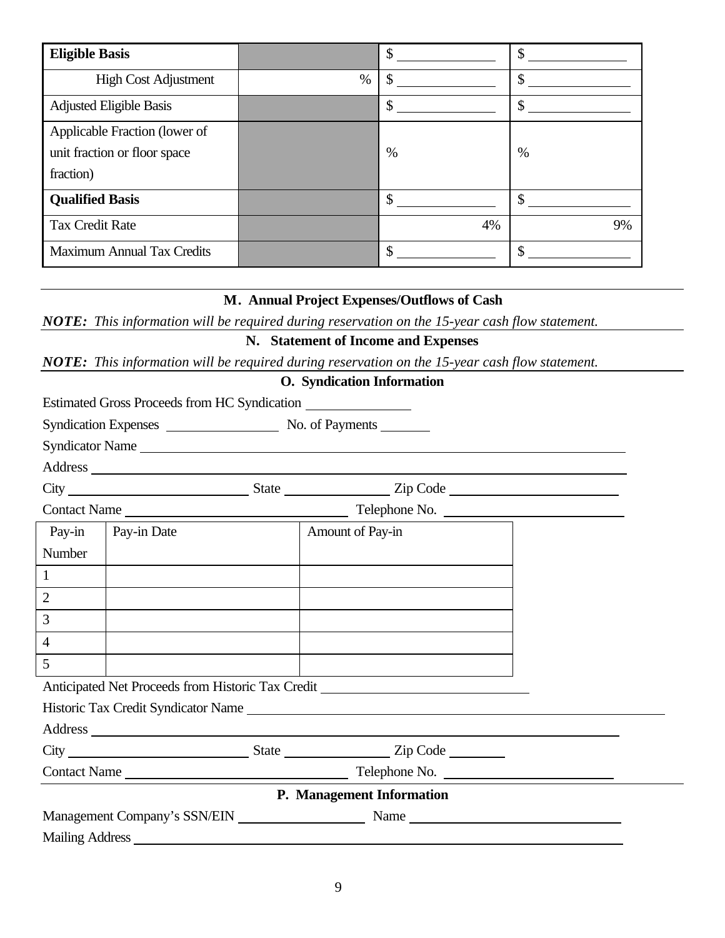| <b>Eligible Basis</b>          |      | \$ | ъD      |
|--------------------------------|------|----|---------|
| <b>High Cost Adjustment</b>    | $\%$ |    | ιD      |
| <b>Adjusted Eligible Basis</b> |      | S  | ሖ<br>ъD |
| Applicable Fraction (lower of  |      |    |         |
| unit fraction or floor space   |      | %  | $\%$    |
| fraction)                      |      |    |         |
| <b>Qualified Basis</b>         |      |    |         |
| <b>Tax Credit Rate</b>         |      | 4% | 9%      |
| Maximum Annual Tax Credits     |      | \$ | ሖ       |

#### **M. Annual Project Expenses/Outflows of Cash**

*NOTE: This information will be required during reservation on the 15-year cash flow statement.*

## **N. Statement of Income and Expenses**

*NOTE: This information will be required during reservation on the 15-year cash flow statement.*

#### **O. Syndication Information**

|                |                      | Syndicator Name                                                                                                                                                                                                                |  |
|----------------|----------------------|--------------------------------------------------------------------------------------------------------------------------------------------------------------------------------------------------------------------------------|--|
|                |                      | Address and the contract of the contract of the contract of the contract of the contract of the contract of the contract of the contract of the contract of the contract of the contract of the contract of the contract of th |  |
|                |                      |                                                                                                                                                                                                                                |  |
|                |                      |                                                                                                                                                                                                                                |  |
|                | Pay-in   Pay-in Date | Amount of Pay-in                                                                                                                                                                                                               |  |
| <b>Number</b>  |                      |                                                                                                                                                                                                                                |  |
| $\mathbf{1}$   |                      |                                                                                                                                                                                                                                |  |
| 2              |                      |                                                                                                                                                                                                                                |  |
| 3              |                      |                                                                                                                                                                                                                                |  |
| $\overline{4}$ |                      |                                                                                                                                                                                                                                |  |
| $\overline{5}$ |                      |                                                                                                                                                                                                                                |  |
|                |                      | Anticipated Net Proceeds from Historic Tax Credit _______________________________                                                                                                                                              |  |
|                |                      |                                                                                                                                                                                                                                |  |
|                |                      |                                                                                                                                                                                                                                |  |
|                |                      |                                                                                                                                                                                                                                |  |
|                |                      |                                                                                                                                                                                                                                |  |
|                |                      | P. Management Information                                                                                                                                                                                                      |  |
|                |                      | Management Company's SSN/EIN Name Name                                                                                                                                                                                         |  |
|                |                      |                                                                                                                                                                                                                                |  |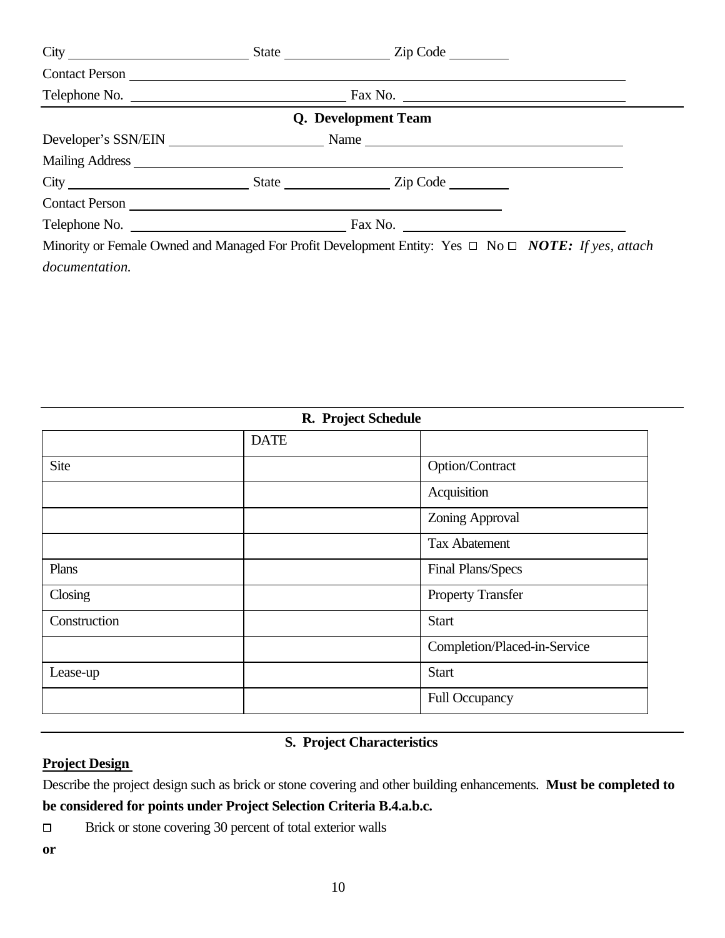|                | State <u>Zip Code</u>                                                                                                                                                                                                              |  |
|----------------|------------------------------------------------------------------------------------------------------------------------------------------------------------------------------------------------------------------------------------|--|
| Contact Person |                                                                                                                                                                                                                                    |  |
| Telephone No.  | Fax No. $\qquad \qquad \qquad$                                                                                                                                                                                                     |  |
|                | Q. Development Team                                                                                                                                                                                                                |  |
|                | Developer's SSN/EIN Name Name Name                                                                                                                                                                                                 |  |
|                | Mailing Address <u>New York and States</u> and The Mailing Address New York and States and The Mailing Address New York and The Mailing Address New York and The Mailing Address New York and The Mailing Address New York and The |  |
|                | State Zip Code                                                                                                                                                                                                                     |  |
|                |                                                                                                                                                                                                                                    |  |
| Telephone No.  | Fax No. $\qquad \qquad$                                                                                                                                                                                                            |  |
|                | Minority or Female Owned and Managed For Profit Development Entity: Yes $\Box$ No $\Box$ NOTE: If yes, attach                                                                                                                      |  |
| documentation. |                                                                                                                                                                                                                                    |  |

| R. Project Schedule |             |                              |
|---------------------|-------------|------------------------------|
|                     | <b>DATE</b> |                              |
| Site                |             | Option/Contract              |
|                     |             | Acquisition                  |
|                     |             | Zoning Approval              |
|                     |             | <b>Tax Abatement</b>         |
| Plans               |             | Final Plans/Specs            |
| Closing             |             | <b>Property Transfer</b>     |
| Construction        |             | <b>Start</b>                 |
|                     |             | Completion/Placed-in-Service |
| Lease-up            |             | <b>Start</b>                 |
|                     |             | <b>Full Occupancy</b>        |

## **S. Project Characteristics**

## **Project Design**

Describe the project design such as brick or stone covering and other building enhancements. **Must be completed to be considered for points under Project Selection Criteria B.4.a.b.c.**

Brick or stone covering 30 percent of total exterior walls  $\Box$ 

**or**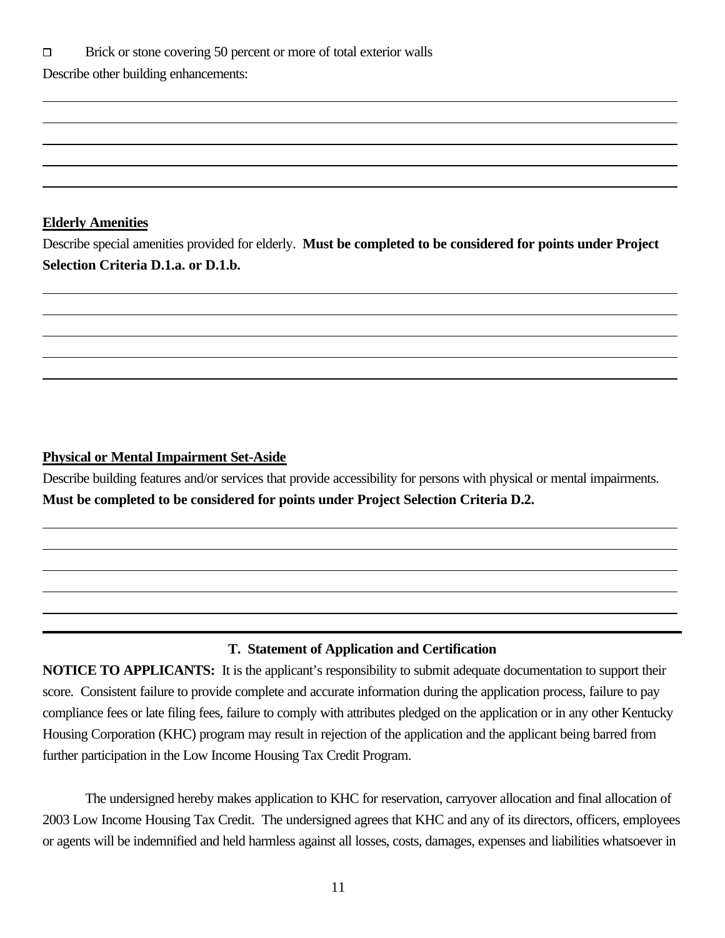#### **Elderly Amenities**

 $\overline{a}$ 

 $\overline{a}$ 

l

Describe special amenities provided for elderly. **Must be completed to be considered for points under Project Selection Criteria D.1.a. or D.1.b.** 

#### **Physical or Mental Impairment Set-Aside**

Describe building features and/or services that provide accessibility for persons with physical or mental impairments. **Must be completed to be considered for points under Project Selection Criteria D.2.**

#### **T. Statement of Application and Certification**

**NOTICE TO APPLICANTS:** It is the applicant's responsibility to submit adequate documentation to support their score. Consistent failure to provide complete and accurate information during the application process, failure to pay compliance fees or late filing fees, failure to comply with attributes pledged on the application or in any other Kentucky Housing Corporation (KHC) program may result in rejection of the application and the applicant being barred from further participation in the Low Income Housing Tax Credit Program.

The undersigned hereby makes application to KHC for reservation, carryover allocation and final allocation of 2003 Low Income Housing Tax Credit. The undersigned agrees that KHC and any of its directors, officers, employees or agents will be indemnified and held harmless against all losses, costs, damages, expenses and liabilities whatsoever in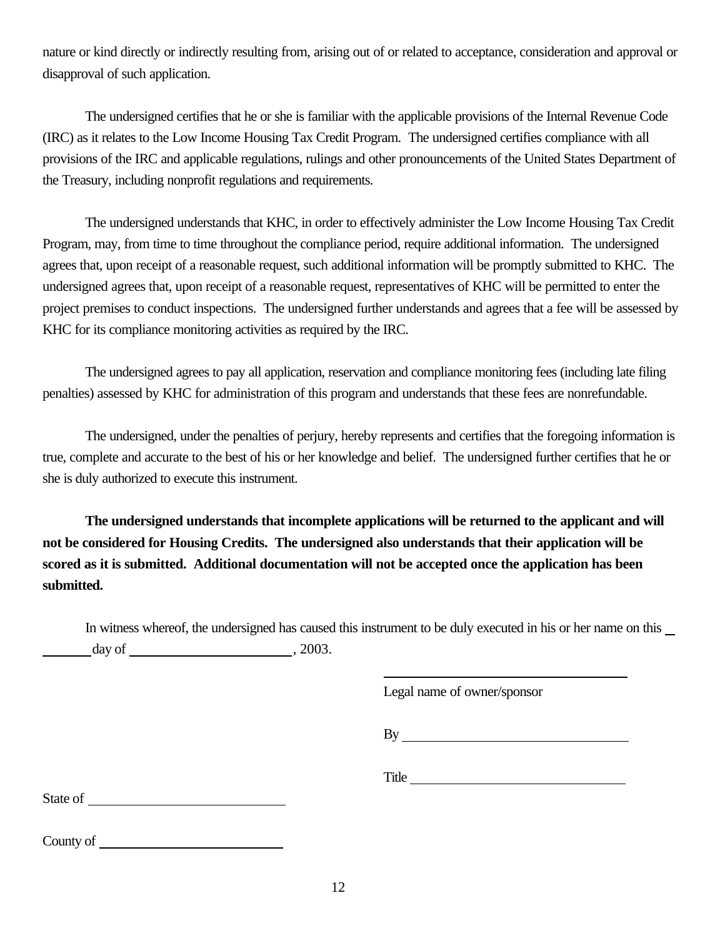nature or kind directly or indirectly resulting from, arising out of or related to acceptance, consideration and approval or disapproval of such application.

The undersigned certifies that he or she is familiar with the applicable provisions of the Internal Revenue Code (IRC) as it relates to the Low Income Housing Tax Credit Program. The undersigned certifies compliance with all provisions of the IRC and applicable regulations, rulings and other pronouncements of the United States Department of the Treasury, including nonprofit regulations and requirements.

The undersigned understands that KHC, in order to effectively administer the Low Income Housing Tax Credit Program, may, from time to time throughout the compliance period, require additional information. The undersigned agrees that, upon receipt of a reasonable request, such additional information will be promptly submitted to KHC. The undersigned agrees that, upon receipt of a reasonable request, representatives of KHC will be permitted to enter the project premises to conduct inspections. The undersigned further understands and agrees that a fee will be assessed by KHC for its compliance monitoring activities as required by the IRC.

The undersigned agrees to pay all application, reservation and compliance monitoring fees (including late filing penalties) assessed by KHC for administration of this program and understands that these fees are nonrefundable.

The undersigned, under the penalties of perjury, hereby represents and certifies that the foregoing information is true, complete and accurate to the best of his or her knowledge and belief. The undersigned further certifies that he or she is duly authorized to execute this instrument.

**The undersigned understands that incomplete applications will be returned to the applicant and will not be considered for Housing Credits. The undersigned also understands that their application will be scored as it is submitted. Additional documentation will not be accepted once the application has been submitted.**

In witness whereof, the undersigned has caused this instrument to be duly executed in his or her name on this  $day of$ ,  $2003.$ 

l

Legal name of owner/sponsor

By

Title **The Community of the Community** of the Community of the Community of the Community of the Community of the Community of the Community of the Community of the Community of the Community of the Community of the Commun

State of state of state of state of state of state of state of state  $\frac{1}{2}$ 

County of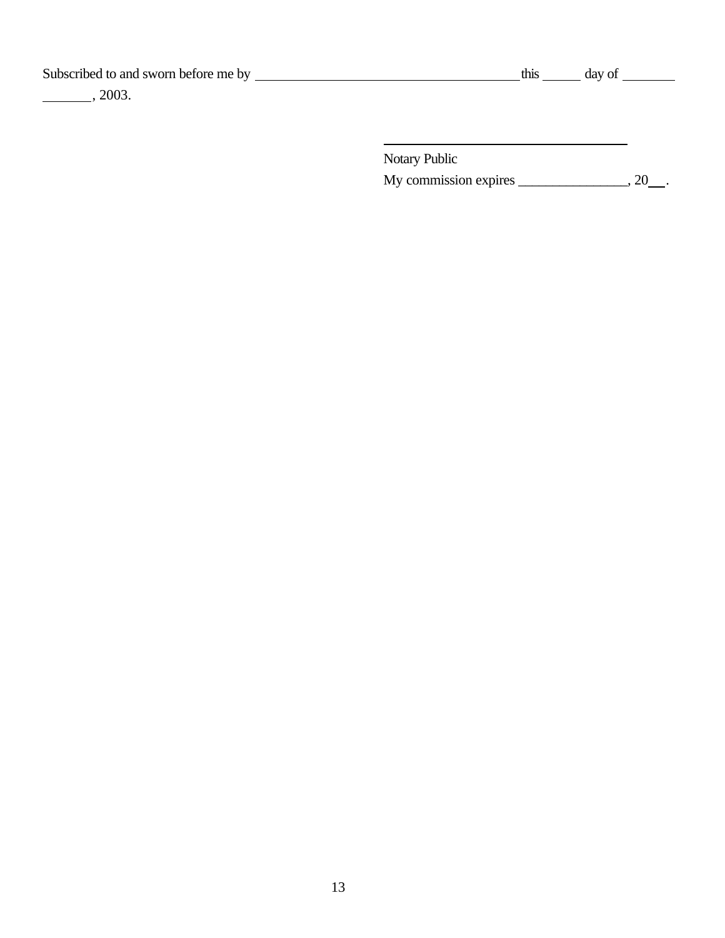Subscribed to and sworn before me by  $\overline{\phantom{a}}$ 

, 2003.

| TNIS | οf<br>dav |
|------|-----------|
|------|-----------|

Notary Public My commission expires \_\_\_\_\_\_\_\_\_\_\_\_\_, 20\_\_.

l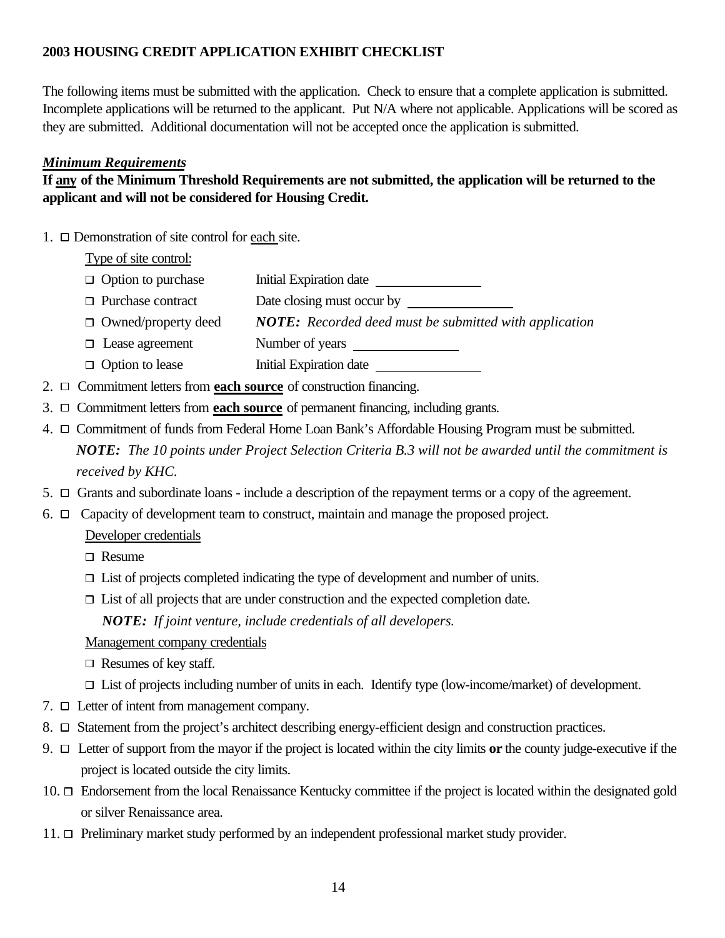## **2003 HOUSING CREDIT APPLICATION EXHIBIT CHECKLIST**

The following items must be submitted with the application. Check to ensure that a complete application is submitted. Incomplete applications will be returned to the applicant. Put N/A where not applicable. Applications will be scored as they are submitted. Additional documentation will not be accepted once the application is submitted.

#### *Minimum Requirements*

## **If any of the Minimum Threshold Requirements are not submitted, the application will be returned to the applicant and will not be considered for Housing Credit.**

1.  $\Box$  Demonstration of site control for each site.

Type of site control:

- $\Box$  Option to purchase Initial Expiration date
- $\Box$  Purchase contract Date closing must occur by
- Owned/property deed *NOTE: Recorded deed must be submitted with application*
- $\Box$  Lease agreement Number of years
- $\Box$  Option to lease Initial Expiration date
- 2. Commitment letters from **each source** of construction financing.
- 3. Commitment letters from **each source** of permanent financing, including grants.
- 4. Commitment of funds from Federal Home Loan Bank's Affordable Housing Program must be submitted. *NOTE: The 10 points under Project Selection Criteria B.3 will not be awarded until the commitment is received by KHC.*
- 5.  $\Box$  Grants and subordinate loans include a description of the repayment terms or a copy of the agreement.
- 6.  $\Box$  Capacity of development team to construct, maintain and manage the proposed project.
	- Developer credentials
	- □ Resume
	- $\Box$  List of projects completed indicating the type of development and number of units.
	- $\Box$  List of all projects that are under construction and the expected completion date. *NOTE: If joint venture, include credentials of all developers.*

#### Management company credentials

- $\Box$  Resumes of key staff.
- $\Box$  List of projects including number of units in each. Identify type (low-income/market) of development.
- $7. \Box$  Letter of intent from management company.
- 8.  $\Box$  Statement from the project's architect describing energy-efficient design and construction practices.
- 9. Letter of support from the mayor if the project is located within the city limits **or** the county judge-executive if the project is located outside the city limits.
- 10. Endorsement from the local Renaissance Kentucky committee if the project is located within the designated gold or silver Renaissance area.
- 11. Preliminary market study performed by an independent professional market study provider.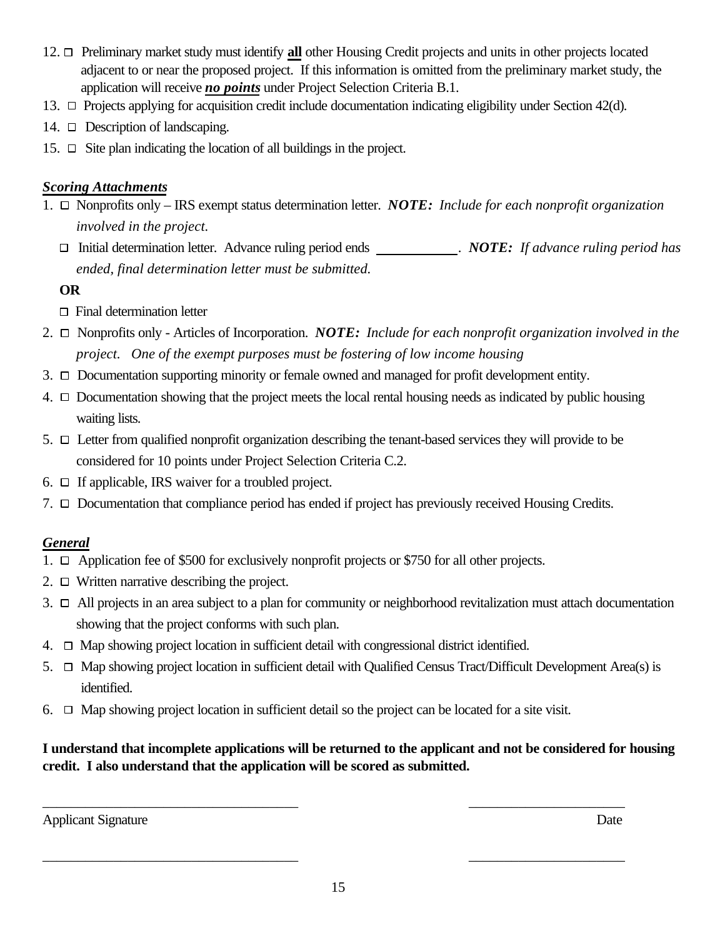- 12. Preliminary market study must identify **all** other Housing Credit projects and units in other projects located adjacent to or near the proposed project. If this information is omitted from the preliminary market study, the application will receive *no points* under Project Selection Criteria B.1.
- 13.  $\Box$  Projects applying for acquisition credit include documentation indicating eligibility under Section 42(d).
- 14.  $\Box$  Description of landscaping.
- 15.  $\Box$  Site plan indicating the location of all buildings in the project.

#### *Scoring Attachments*

- 1. Nonprofits only IRS exempt status determination letter. *NOTE: Include for each nonprofit organization involved in the project.* 
	- Initial determination letter. Advance ruling period ends . *NOTE: If advance ruling period has ended, final determination letter must be submitted.*

### **OR**

- $\Box$  Final determination letter
- 2. Nonprofits only Articles of Incorporation. *NOTE: Include for each nonprofit organization involved in the project. One of the exempt purposes must be fostering of low income housing*
- 3.  $\Box$  Documentation supporting minority or female owned and managed for profit development entity.
- 4.  $\Box$  Documentation showing that the project meets the local rental housing needs as indicated by public housing waiting lists.
- 5.  $\Box$  Letter from qualified nonprofit organization describing the tenant-based services they will provide to be considered for 10 points under Project Selection Criteria C.2.
- 6.  $\Box$  If applicable, IRS waiver for a troubled project.
- 7.  $\Box$  Documentation that compliance period has ended if project has previously received Housing Credits.

## *General*

- 1.  $\Box$  Application fee of \$500 for exclusively nonprofit projects or \$750 for all other projects.
- 2.  $\Box$  Written narrative describing the project.
- $3. \Box$  All projects in an area subject to a plan for community or neighborhood revitalization must attach documentation showing that the project conforms with such plan.
- $4. \Box$  Map showing project location in sufficient detail with congressional district identified.
- 5.  $\Box$  Map showing project location in sufficient detail with Qualified Census Tract/Difficult Development Area(s) is identified.
- 6.  $\Box$  Map showing project location in sufficient detail so the project can be located for a site visit.

## **I understand that incomplete applications will be returned to the applicant and not be considered for housing credit. I also understand that the application will be scored as submitted.**

Applicant Signature Date

 $\overline{\phantom{a}}$  , and the contract of the contract of the contract of the contract of the contract of the contract of the contract of the contract of the contract of the contract of the contract of the contract of the contrac

 $\overline{\phantom{a}}$  , and the contract of the contract of the contract of the contract of the contract of the contract of the contract of the contract of the contract of the contract of the contract of the contract of the contrac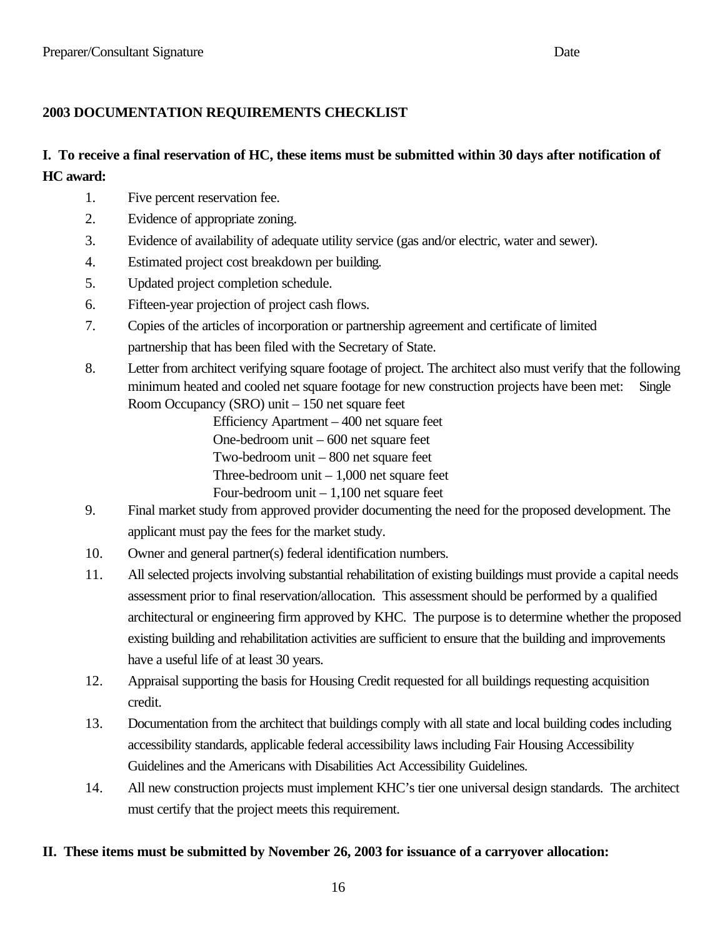### **2003 DOCUMENTATION REQUIREMENTS CHECKLIST**

## **I. To receive a final reservation of HC, these items must be submitted within 30 days after notification of HC award:**

- 1. Five percent reservation fee.
- 2. Evidence of appropriate zoning.
- 3. Evidence of availability of adequate utility service (gas and/or electric, water and sewer).
- 4. Estimated project cost breakdown per building.
- 5. Updated project completion schedule.
- 6. Fifteen-year projection of project cash flows.
- 7. Copies of the articles of incorporation or partnership agreement and certificate of limited partnership that has been filed with the Secretary of State.
- 8. Letter from architect verifying square footage of project. The architect also must verify that the following minimum heated and cooled net square footage for new construction projects have been met: Single Room Occupancy (SRO) unit – 150 net square feet

Efficiency Apartment – 400 net square feet One-bedroom unit – 600 net square feet Two-bedroom unit – 800 net square feet Three-bedroom unit  $-1,000$  net square feet Four-bedroom unit – 1,100 net square feet

- 9. Final market study from approved provider documenting the need for the proposed development. The applicant must pay the fees for the market study.
- 10. Owner and general partner(s) federal identification numbers.
- 11. All selected projects involving substantial rehabilitation of existing buildings must provide a capital needs assessment prior to final reservation/allocation. This assessment should be performed by a qualified architectural or engineering firm approved by KHC. The purpose is to determine whether the proposed existing building and rehabilitation activities are sufficient to ensure that the building and improvements have a useful life of at least 30 years.
- 12. Appraisal supporting the basis for Housing Credit requested for all buildings requesting acquisition credit.
- 13. Documentation from the architect that buildings comply with all state and local building codes including accessibility standards, applicable federal accessibility laws including Fair Housing Accessibility Guidelines and the Americans with Disabilities Act Accessibility Guidelines.
- 14. All new construction projects must implement KHC's tier one universal design standards. The architect must certify that the project meets this requirement.

#### **II. These items must be submitted by November 26, 2003 for issuance of a carryover allocation:**